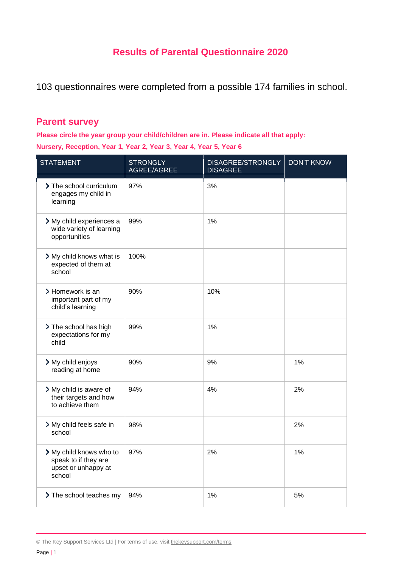# **Results of Parental Questionnaire 2020**

103 questionnaires were completed from a possible 174 families in school.

## **Parent survey**

**Please circle the year group your child/children are in. Please indicate all that apply: Nursery, Reception, Year 1, Year 2, Year 3, Year 4, Year 5, Year 6**

| <b>STATEMENT</b>                                                                 | <b>STRONGLY</b><br>AGREE/AGREE | DISAGREE/STRONGLY<br><b>DISAGREE</b> | <b>DON'T KNOW</b> |
|----------------------------------------------------------------------------------|--------------------------------|--------------------------------------|-------------------|
| > The school curriculum<br>engages my child in<br>learning                       | 97%                            | 3%                                   |                   |
| > My child experiences a<br>wide variety of learning<br>opportunities            | 99%                            | 1%                                   |                   |
| > My child knows what is<br>expected of them at<br>school                        | 100%                           |                                      |                   |
| > Homework is an<br>important part of my<br>child's learning                     | 90%                            | 10%                                  |                   |
| > The school has high<br>expectations for my<br>child                            | 99%                            | 1%                                   |                   |
| > My child enjoys<br>reading at home                                             | 90%                            | 9%                                   | 1%                |
| > My child is aware of<br>their targets and how<br>to achieve them               | 94%                            | 4%                                   | 2%                |
| > My child feels safe in<br>school                                               | 98%                            |                                      | 2%                |
| > My child knows who to<br>speak to if they are<br>upset or unhappy at<br>school | 97%                            | 2%                                   | 1%                |
| > The school teaches my                                                          | 94%                            | 1%                                   | 5%                |

© The Key Support Services Ltd | For terms of use, visit [thekeysupport.com/terms](https://thekeysupport.com/terms-of-use)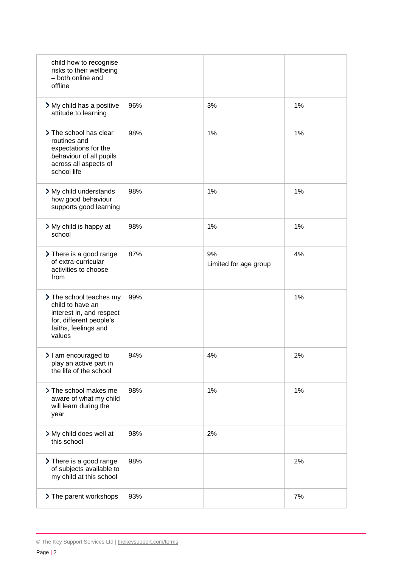| child how to recognise<br>risks to their wellbeing<br>- both online and<br>offline                                                   |     |                             |    |
|--------------------------------------------------------------------------------------------------------------------------------------|-----|-----------------------------|----|
| > My child has a positive<br>attitude to learning                                                                                    | 96% | 3%                          | 1% |
| > The school has clear<br>routines and<br>expectations for the<br>behaviour of all pupils<br>across all aspects of<br>school life    | 98% | 1%                          | 1% |
| > My child understands<br>how good behaviour<br>supports good learning                                                               | 98% | 1%                          | 1% |
| > My child is happy at<br>school                                                                                                     | 98% | 1%                          | 1% |
| > There is a good range<br>of extra-curricular<br>activities to choose<br>from                                                       | 87% | 9%<br>Limited for age group | 4% |
| > The school teaches my<br>child to have an<br>interest in, and respect<br>for, different people's<br>faiths, feelings and<br>values | 99% |                             | 1% |
| > I am encouraged to<br>play an active part in<br>the life of the school                                                             | 94% | 4%                          | 2% |
| > The school makes me<br>aware of what my child<br>will learn during the<br>year                                                     | 98% | 1%                          | 1% |
| > My child does well at<br>this school                                                                                               | 98% | 2%                          |    |
| > There is a good range<br>of subjects available to<br>my child at this school                                                       | 98% |                             | 2% |
| > The parent workshops                                                                                                               | 93% |                             | 7% |

<sup>©</sup> The Key Support Services Ltd | [thekeysupport.com/terms](https://thekeysupport.com/terms-of-use)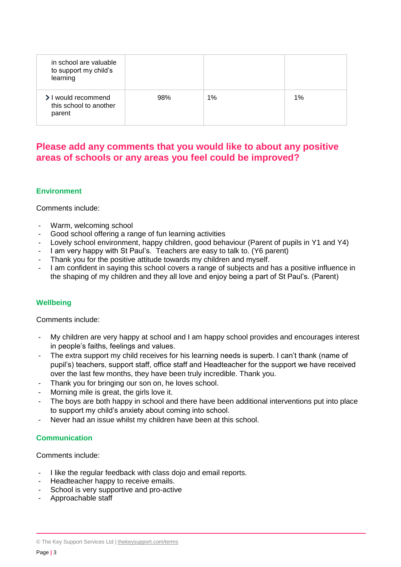| in school are valuable<br>to support my child's<br>learning |     |    |    |
|-------------------------------------------------------------|-----|----|----|
| > I would recommend<br>this school to another<br>parent     | 98% | 1% | 1% |

## **Please add any comments that you would like to about any positive areas of schools or any areas you feel could be improved?**

### **Environment**

Comments include:

- Warm, welcoming school
- Good school offering a range of fun learning activities
- Lovely school environment, happy children, good behaviour (Parent of pupils in Y1 and Y4)
- I am very happy with St Paul's. Teachers are easy to talk to. (Y6 parent)
- Thank you for the positive attitude towards my children and myself.
- I am confident in saying this school covers a range of subjects and has a positive influence in the shaping of my children and they all love and enjoy being a part of St Paul's. (Parent)

### **Wellbeing**

Comments include:

- My children are very happy at school and I am happy school provides and encourages interest in people's faiths, feelings and values.
- The extra support my child receives for his learning needs is superb. I can't thank (name of pupil's) teachers, support staff, office staff and Headteacher for the support we have received over the last few months, they have been truly incredible. Thank you.
- Thank you for bringing our son on, he loves school.
- Morning mile is great, the girls love it.
- The boys are both happy in school and there have been additional interventions put into place to support my child's anxiety about coming into school.
- Never had an issue whilst my children have been at this school.

#### **Communication**

Comments include:

- I like the regular feedback with class dojo and email reports.
- Headteacher happy to receive emails.
- School is very supportive and pro-active
- Approachable staff

<sup>©</sup> The Key Support Services Ltd | [thekeysupport.com/terms](https://thekeysupport.com/terms-of-use)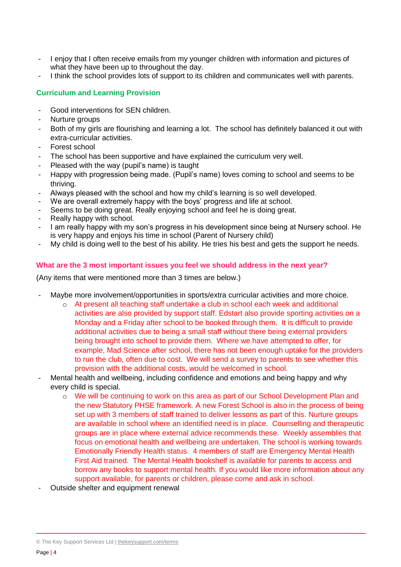- I enjoy that I often receive emails from my younger children with information and pictures of what they have been up to throughout the day.
- I think the school provides lots of support to its children and communicates well with parents.

#### **Curriculum and Learning Provision**

- Good interventions for SEN children.
- Nurture groups
- Both of my girls are flourishing and learning a lot. The school has definitely balanced it out with extra-curricular activities.
- Forest school
- The school has been supportive and have explained the curriculum very well.
- Pleased with the way (pupil's name) is taught
- Happy with progression being made. (Pupil's name) loves coming to school and seems to be thriving.
- Always pleased with the school and how my child's learning is so well developed.
- We are overall extremely happy with the boys' progress and life at school.
- Seems to be doing great. Really enjoying school and feel he is doing great.
- Really happy with school.
- I am really happy with my son's progress in his development since being at Nursery school. He is very happy and enjoys his time in school (Parent of Nursery child)
- My child is doing well to the best of his ability. He tries his best and gets the support he needs.

#### **What are the 3 most important issues you feel we should address in the next year?**

(Any items that were mentioned more than 3 times are below.)

- Maybe more involvement/opportunities in sports/extra curricular activities and more choice.
	- o At present all teaching staff undertake a club in school each week and additional activities are also provided by support staff. Edstart also provide sporting activities on a Monday and a Friday after school to be booked through them. It is difficult to provide additional activities due to being a small staff without there being external providers being brought into school to provide them. Where we have attempted to offer, for example, Mad Science after school, there has not been enough uptake for the providers to run the club, often due to cost. We will send a survey to parents to see whether this provision with the additional costs, would be welcomed in school.
- Mental health and wellbeing, including confidence and emotions and being happy and why every child is special.
	- o We will be continuing to work on this area as part of our School Development Plan and the new Statutory PHSE framework. A new Forest School is also in the process of being set up with 3 members of staff trained to deliver lessons as part of this. Nurture groups are available in school where an identified need is in place. Counselling and therapeutic groups are in place where external advice recommends these. Weekly assemblies that focus on emotional health and wellbeing are undertaken. The school is working towards Emotionally Friendly Health status. 4 members of staff are Emergency Mental Health First Aid trained. The Mental Health bookshelf is available for parents to access and borrow any books to support mental health. If you would like more information about any support available, for parents or children, please come and ask in school.
- Outside shelter and equipment renewal